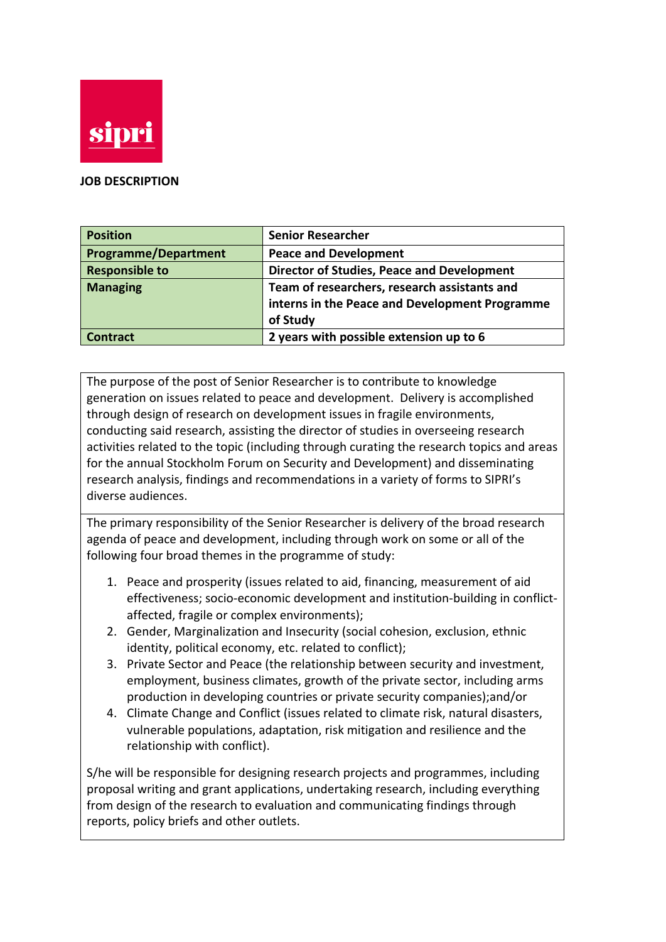

## **JOB DESCRIPTION**

| <b>Position</b>             | <b>Senior Researcher</b>                          |
|-----------------------------|---------------------------------------------------|
| <b>Programme/Department</b> | <b>Peace and Development</b>                      |
| <b>Responsible to</b>       | <b>Director of Studies, Peace and Development</b> |
| <b>Managing</b>             | Team of researchers, research assistants and      |
|                             | interns in the Peace and Development Programme    |
|                             | of Study                                          |
| Contract                    | 2 years with possible extension up to 6           |

The purpose of the post of Senior Researcher is to contribute to knowledge generation on issues related to peace and development. Delivery is accomplished through design of research on development issues in fragile environments, conducting said research, assisting the director of studies in overseeing research activities related to the topic (including through curating the research topics and areas for the annual Stockholm Forum on Security and Development) and disseminating research analysis, findings and recommendations in a variety of forms to SIPRI's diverse audiences.

The primary responsibility of the Senior Researcher is delivery of the broad research agenda of peace and development, including through work on some or all of the following four broad themes in the programme of study:

- 1. Peace and prosperity (issues related to aid, financing, measurement of aid effectiveness; socio-economic development and institution-building in conflictaffected, fragile or complex environments);
- 2. Gender, Marginalization and Insecurity (social cohesion, exclusion, ethnic identity, political economy, etc. related to conflict);
- 3. Private Sector and Peace (the relationship between security and investment, employment, business climates, growth of the private sector, including arms production in developing countries or private security companies);and/or
- 4. Climate Change and Conflict (issues related to climate risk, natural disasters, vulnerable populations, adaptation, risk mitigation and resilience and the relationship with conflict).

S/he will be responsible for designing research projects and programmes, including proposal writing and grant applications, undertaking research, including everything from design of the research to evaluation and communicating findings through reports, policy briefs and other outlets.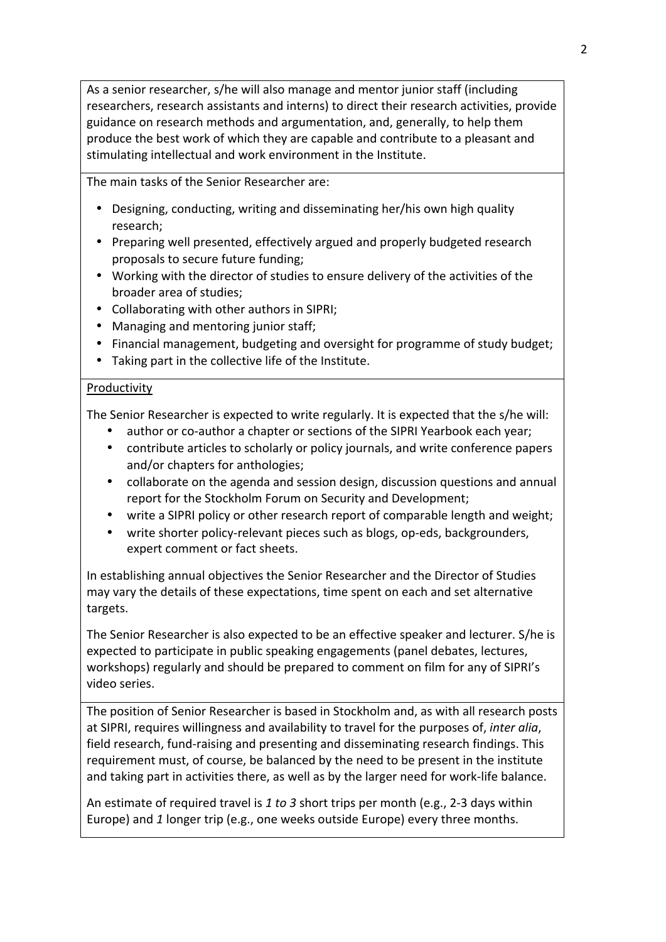As a senior researcher, s/he will also manage and mentor junior staff (including researchers, research assistants and interns) to direct their research activities, provide guidance on research methods and argumentation, and, generally, to help them produce the best work of which they are capable and contribute to a pleasant and stimulating intellectual and work environment in the Institute.

The main tasks of the Senior Researcher are:

- Designing, conducting, writing and disseminating her/his own high quality research;
- Preparing well presented, effectively argued and properly budgeted research proposals to secure future funding;
- Working with the director of studies to ensure delivery of the activities of the broader area of studies;
- Collaborating with other authors in SIPRI;
- Managing and mentoring junior staff;
- Financial management, budgeting and oversight for programme of study budget;
- Taking part in the collective life of the Institute.

## Productivity

The Senior Researcher is expected to write regularly. It is expected that the s/he will:

- author or co-author a chapter or sections of the SIPRI Yearbook each year;
- contribute articles to scholarly or policy journals, and write conference papers and/or chapters for anthologies;
- collaborate on the agenda and session design, discussion questions and annual report for the Stockholm Forum on Security and Development;
- write a SIPRI policy or other research report of comparable length and weight;
- write shorter policy-relevant pieces such as blogs, op-eds, backgrounders, expert comment or fact sheets.

In establishing annual objectives the Senior Researcher and the Director of Studies may vary the details of these expectations, time spent on each and set alternative targets.

The Senior Researcher is also expected to be an effective speaker and lecturer. S/he is expected to participate in public speaking engagements (panel debates, lectures, workshops) regularly and should be prepared to comment on film for any of SIPRI's video series. 

The position of Senior Researcher is based in Stockholm and, as with all research posts at SIPRI, requires willingness and availability to travel for the purposes of, *inter alia*, field research, fund-raising and presenting and disseminating research findings. This requirement must, of course, be balanced by the need to be present in the institute and taking part in activities there, as well as by the larger need for work-life balance.

An estimate of required travel is 1 to 3 short trips per month (e.g., 2-3 days within Europe) and 1 longer trip (e.g., one weeks outside Europe) every three months.